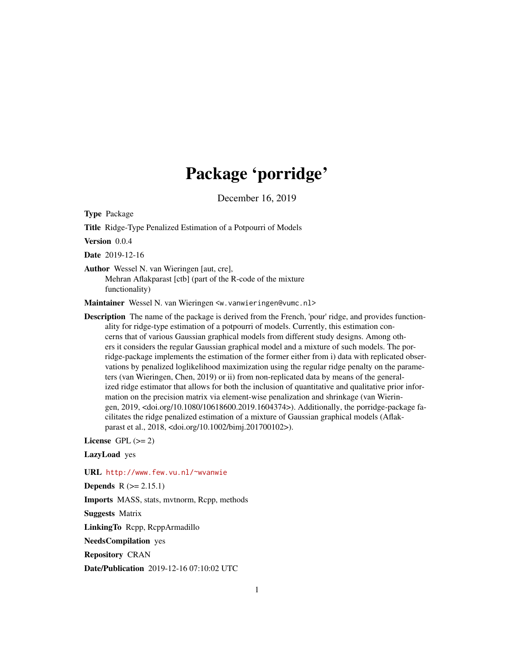# Package 'porridge'

December 16, 2019

<span id="page-0-0"></span>Type Package

Title Ridge-Type Penalized Estimation of a Potpourri of Models

Version 0.0.4

Date 2019-12-16

Author Wessel N. van Wieringen [aut, cre], Mehran Aflakparast [ctb] (part of the R-code of the mixture functionality)

Maintainer Wessel N. van Wieringen <w. vanwieringen@vumc.nl>

Description The name of the package is derived from the French, 'pour' ridge, and provides functionality for ridge-type estimation of a potpourri of models. Currently, this estimation concerns that of various Gaussian graphical models from different study designs. Among others it considers the regular Gaussian graphical model and a mixture of such models. The porridge-package implements the estimation of the former either from i) data with replicated observations by penalized loglikelihood maximization using the regular ridge penalty on the parameters (van Wieringen, Chen, 2019) or ii) from non-replicated data by means of the generalized ridge estimator that allows for both the inclusion of quantitative and qualitative prior information on the precision matrix via element-wise penalization and shrinkage (van Wieringen, 2019, <doi.org/10.1080/10618600.2019.1604374>). Additionally, the porridge-package facilitates the ridge penalized estimation of a mixture of Gaussian graphical models (Aflakparast et al., 2018, <doi.org/10.1002/bimj.201700102>).

License GPL  $(>= 2)$ 

LazyLoad yes

URL <http://www.few.vu.nl/~wvanwie>

**Depends**  $R$  ( $>= 2.15.1$ )

Imports MASS, stats, mvtnorm, Rcpp, methods

Suggests Matrix

LinkingTo Rcpp, RcppArmadillo

NeedsCompilation yes

Repository CRAN

Date/Publication 2019-12-16 07:10:02 UTC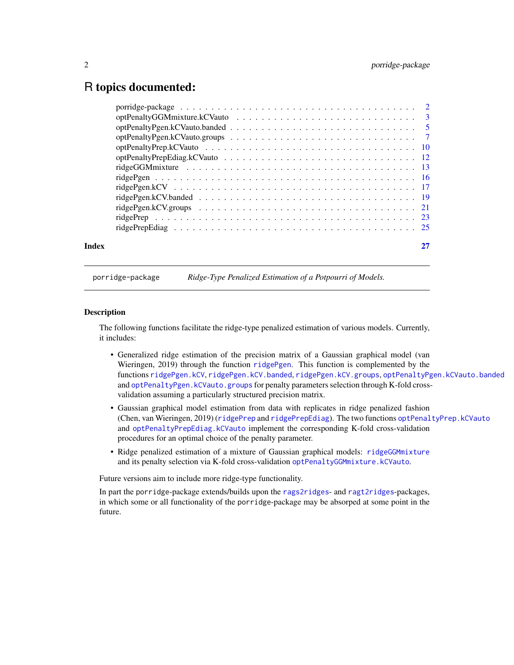# <span id="page-1-0"></span>R topics documented:

| Index |  |
|-------|--|
|       |  |

porridge-package *Ridge-Type Penalized Estimation of a Potpourri of Models.*

#### **Description**

The following functions facilitate the ridge-type penalized estimation of various models. Currently, it includes:

- Generalized ridge estimation of the precision matrix of a Gaussian graphical model (van Wieringen, 2019) through the function [ridgePgen](#page-15-1). This function is complemented by the functions [ridgePgen.kCV](#page-16-1), [ridgePgen.kCV.banded](#page-18-1), [ridgePgen.kCV.groups](#page-20-1), [optPenaltyPgen.kCVauto.banded](#page-4-1) and [optPenaltyPgen.kCVauto.groups](#page-6-1) for penalty parameters selection through K-fold crossvalidation assuming a particularly structured precision matrix.
- Gaussian graphical model estimation from data with replicates in ridge penalized fashion (Chen, van Wieringen, 2019) ([ridgePrep](#page-22-1) and [ridgePrepEdiag](#page-24-1)). The two functions [optPenaltyPrep.kCVauto](#page-9-1) and [optPenaltyPrepEdiag.kCVauto](#page-11-1) implement the corresponding K-fold cross-validation procedures for an optimal choice of the penalty parameter.
- Ridge penalized estimation of a mixture of Gaussian graphical models: [ridgeGGMmixture](#page-12-1) and its penalty selection via K-fold cross-validation [optPenaltyGGMmixture.kCVauto](#page-2-1).

Future versions aim to include more ridge-type functionality.

In part the porridge-package extends/builds upon the [rags2ridges](#page-0-0)- and [ragt2ridges](#page-0-0)-packages, in which some or all functionality of the porridge-package may be absorped at some point in the future.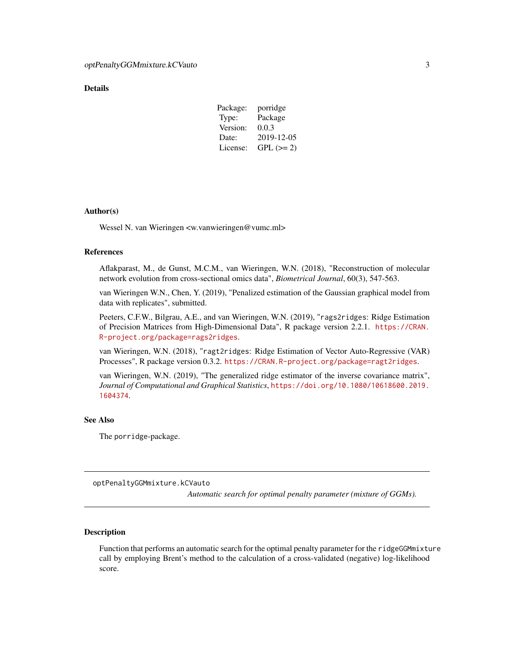### <span id="page-2-0"></span>**Details**

| Package: | porridge   |
|----------|------------|
| Type:    | Package    |
| Version: | 0.0.3      |
| Date:    | 2019-12-05 |
| License: | $GPL (=2)$ |

#### Author(s)

Wessel N. van Wieringen <w.vanwieringen@vumc.ml>

#### References

Aflakparast, M., de Gunst, M.C.M., van Wieringen, W.N. (2018), "Reconstruction of molecular network evolution from cross-sectional omics data", *Biometrical Journal*, 60(3), 547-563.

van Wieringen W.N., Chen, Y. (2019), "Penalized estimation of the Gaussian graphical model from data with replicates", submitted.

Peeters, C.F.W., Bilgrau, A.E., and van Wieringen, W.N. (2019), "rags2ridges: Ridge Estimation of Precision Matrices from High-Dimensional Data", R package version 2.2.1. [https://CRAN.](https://CRAN.R-project.org/package=rags2ridges) [R-project.org/package=rags2ridges](https://CRAN.R-project.org/package=rags2ridges).

van Wieringen, W.N. (2018), "ragt2ridges: Ridge Estimation of Vector Auto-Regressive (VAR) Processes", R package version 0.3.2. <https://CRAN.R-project.org/package=ragt2ridges>.

van Wieringen, W.N. (2019), "The generalized ridge estimator of the inverse covariance matrix", *Journal of Computational and Graphical Statistics*, [https://doi.org/10.1080/10618600.2019.](https://doi.org/10.1080/10618600.2019.1604374) [1604374](https://doi.org/10.1080/10618600.2019.1604374).

# See Also

The porridge-package.

<span id="page-2-1"></span>optPenaltyGGMmixture.kCVauto

*Automatic search for optimal penalty parameter (mixture of GGMs).*

#### **Description**

Function that performs an automatic search for the optimal penalty parameter for the ridgeGGMmixture call by employing Brent's method to the calculation of a cross-validated (negative) log-likelihood score.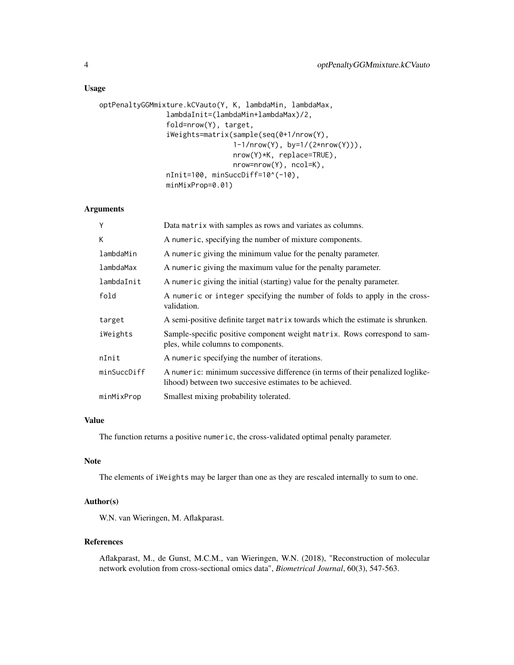## Usage

```
optPenaltyGGMmixture.kCVauto(Y, K, lambdaMin, lambdaMax,
                lambdaInit=(lambdaMin+lambdaMax)/2,
                fold=nrow(Y), target,
                iWeights=matrix(sample(seq(0+1/nrow(Y),
                                1-1/nrow(Y), by=1/(2*nrow(Y))),
                                nrow(Y)*K, replace=TRUE),
                                nrow=nrow(Y), ncol=K),
                nInit=100, minSuccDiff=10^(-10),
                minMixProp=0.01)
```
# Arguments

| Y           | Data matrix with samples as rows and variates as columns.                                                                                 |
|-------------|-------------------------------------------------------------------------------------------------------------------------------------------|
| К           | A numeric, specifying the number of mixture components.                                                                                   |
| lambdaMin   | A numeric giving the minimum value for the penalty parameter.                                                                             |
| lambdaMax   | A numeric giving the maximum value for the penalty parameter.                                                                             |
| lambdaInit  | A numeric giving the initial (starting) value for the penalty parameter.                                                                  |
| fold        | A numeric or integer specifying the number of folds to apply in the cross-<br>validation.                                                 |
| target      | A semi-positive definite target matrix towards which the estimate is shrunken.                                                            |
| iWeights    | Sample-specific positive component weight matrix. Rows correspond to sam-<br>ples, while columns to components.                           |
| nInit       | A numeric specifying the number of iterations.                                                                                            |
| minSuccDiff | A numeric: minimum successive difference (in terms of their penalized loglike-<br>lihood) between two succesive estimates to be achieved. |
| minMixProp  | Smallest mixing probability tolerated.                                                                                                    |

# Value

The function returns a positive numeric, the cross-validated optimal penalty parameter.

#### Note

The elements of iWeights may be larger than one as they are rescaled internally to sum to one.

# Author(s)

W.N. van Wieringen, M. Aflakparast.

### References

Aflakparast, M., de Gunst, M.C.M., van Wieringen, W.N. (2018), "Reconstruction of molecular network evolution from cross-sectional omics data", *Biometrical Journal*, 60(3), 547-563.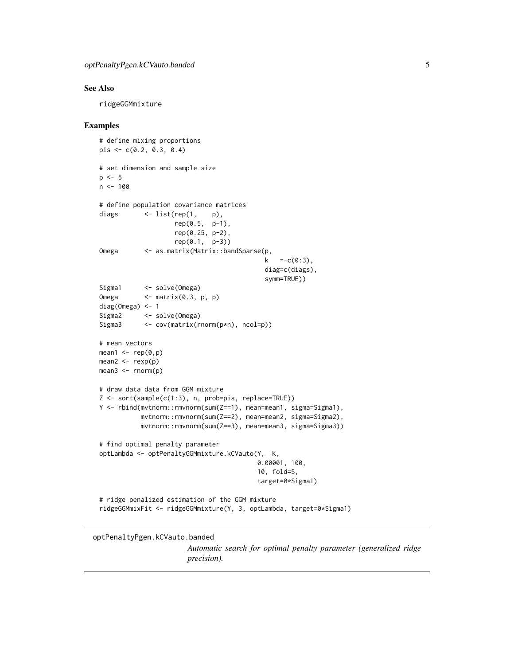#### <span id="page-4-0"></span>See Also

ridgeGGMmixture

#### Examples

```
# define mixing proportions
pis <- c(0.2, 0.3, 0.4)
# set dimension and sample size
p \le -5n < -100# define population covariance matrices
diags <- list(rep(1, p),
                   rep(0.5, p-1),rep(0.25, p-2),
                   rep(0.1, p-3))
Omega <- as.matrix(Matrix::bandSparse(p,
                                           k = -c(0:3),
                                           diag=c(diags),
                                           symm=TRUE))
Sigma1 <- solve(Omega)
Omega <- matrix(0.3, p, p)
diag(Omega) <- 1
Sigma2 <- solve(Omega)
Sigma3 <- cov(matrix(rnorm(p*n), ncol=p))
# mean vectors
mean1 \leq rep(0,p)
mean2 < -rexp(p)mean3 \leq rnorm(p)# draw data data from GGM mixture
Z <- sort(sample(c(1:3), n, prob=pis, replace=TRUE))
Y <- rbind(mvtnorm::rmvnorm(sum(Z==1), mean=mean1, sigma=Sigma1),
          mvtnorm::rmvnorm(sum(Z==2), mean=mean2, sigma=Sigma2),
          mvtnorm::rmvnorm(sum(Z==3), mean=mean3, sigma=Sigma3))
# find optimal penalty parameter
optLambda <- optPenaltyGGMmixture.kCVauto(Y, K,
                                         0.00001, 100,
                                         10, fold=5,
                                         target=0*Sigma1)
# ridge penalized estimation of the GGM mixture
ridgeGGMmixFit <- ridgeGGMmixture(Y, 3, optLambda, target=0*Sigma1)
```
<span id="page-4-1"></span>optPenaltyPgen.kCVauto.banded

*Automatic search for optimal penalty parameter (generalized ridge precision).*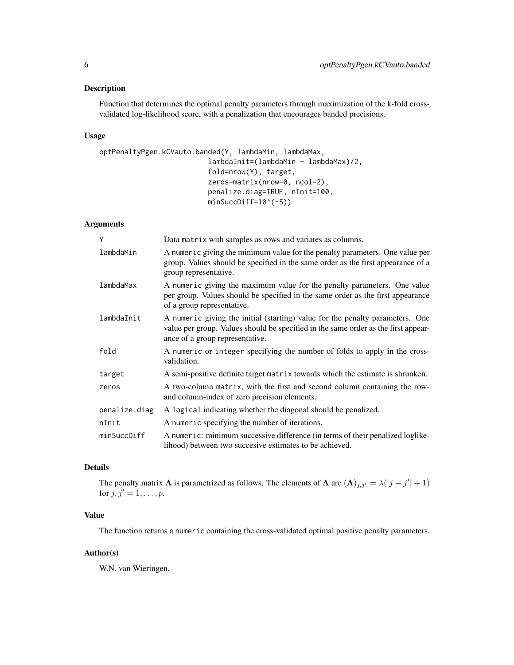# Description

Function that determines the optimal penalty parameters through maximization of the k-fold crossvalidated log-likelihood score, with a penalization that encourages banded precisions.

#### Usage

```
optPenaltyPgen.kCVauto.banded(Y, lambdaMin, lambdaMax,
                          lambdaInit=(lambdaMin + lambdaMax)/2,
                          fold=nrow(Y), target,
                          zeros=matrix(nrow=0, ncol=2),
                          penalize.diag=TRUE, nInit=100,
                          minSuccDiff=10^(-5))
```
#### Arguments

| Y             | Data matrix with samples as rows and variates as columns.                                                                                                                                              |
|---------------|--------------------------------------------------------------------------------------------------------------------------------------------------------------------------------------------------------|
| lambdaMin     | A numeric giving the minimum value for the penalty parameters. One value per<br>group. Values should be specified in the same order as the first appearance of a<br>group representative.              |
| lambdaMax     | A numeric giving the maximum value for the penalty parameters. One value<br>per group. Values should be specified in the same order as the first appearance<br>of a group representative.              |
| lambdaInit    | A numeric giving the initial (starting) value for the penalty parameters. One<br>value per group. Values should be specified in the same order as the first appear-<br>ance of a group representative. |
| fold          | A numeric or integer specifying the number of folds to apply in the cross-<br>validation.                                                                                                              |
| target        | A semi-positive definite target matrix towards which the estimate is shrunken.                                                                                                                         |
| zeros         | A two-column matrix, with the first and second column containing the row-<br>and column-index of zero precision elements.                                                                              |
| penalize.diag | A logical indicating whether the diagonal should be penalized.                                                                                                                                         |
| nInit         | A numeric specifying the number of iterations.                                                                                                                                                         |
| minSuccDiff   | A numeric: minimum successive difference (in terms of their penalized loglike-<br>lihood) between two succesive estimates to be achieved.                                                              |

# Details

The penalty matrix  $\Lambda$  is parametrized as follows. The elements of  $\Lambda$  are  $(\Lambda)_{j,j'} = \lambda(|j - j'| + 1)$ for  $j, j' = 1, ..., p$ .

# Value

The function returns a numeric containing the cross-validated optimal positive penalty parameters.

#### Author(s)

W.N. van Wieringen.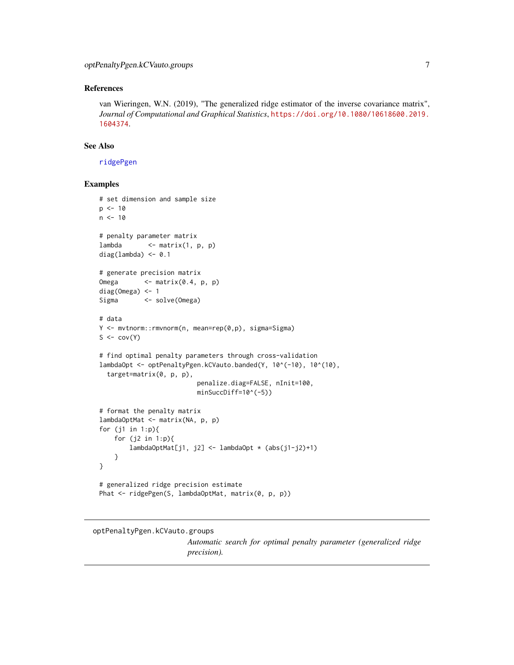#### <span id="page-6-0"></span>References

van Wieringen, W.N. (2019), "The generalized ridge estimator of the inverse covariance matrix", *Journal of Computational and Graphical Statistics*, [https://doi.org/10.1080/10618600.2019.](https://doi.org/10.1080/10618600.2019.1604374) [1604374](https://doi.org/10.1080/10618600.2019.1604374).

#### See Also

[ridgePgen](#page-15-1)

# Examples

```
# set dimension and sample size
p \le -10n < -10# penalty parameter matrix
lambda \leq matrix(1, p, p)
diag(lambda) <- 0.1
# generate precision matrix
Omega <- matrix(0.4, p, p)
diag(Omega) <- 1
Sigma <- solve(Omega)
# data
Y <- mvtnorm::rmvnorm(n, mean=rep(0,p), sigma=Sigma)
S \leftarrow cov(Y)# find optimal penalty parameters through cross-validation
lambdaOpt <- optPenaltyPgen.kCVauto.banded(Y, 10^(-10), 10^(10),
  target=matrix(0, p, p),
                          penalize.diag=FALSE, nInit=100,
                          minSuccDiff=10^(-5))
# format the penalty matrix
lambdaOptMat <- matrix(NA, p, p)
for (j1 in 1:p){
    for (j2 in 1:p){
        lambdaOptMat[j1, j2] <- lambdaOpt * (abs(j1-j2)+1)
    }
}
# generalized ridge precision estimate
Phat <- ridgePgen(S, lambdaOptMat, matrix(0, p, p))
```
# <span id="page-6-1"></span>optPenaltyPgen.kCVauto.groups

*Automatic search for optimal penalty parameter (generalized ridge precision).*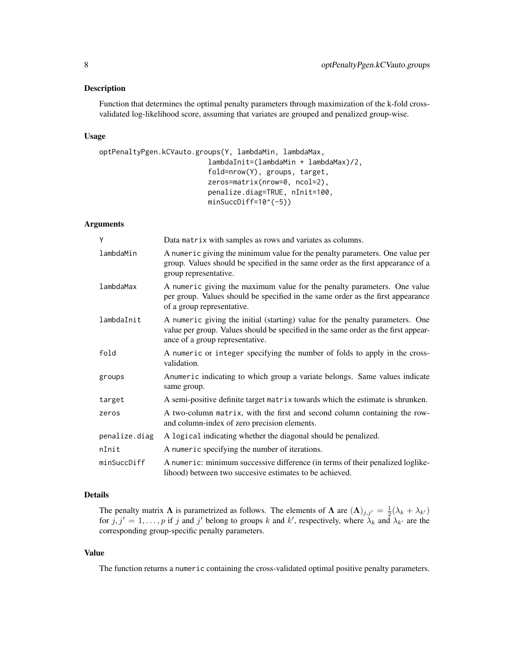#### Description

Function that determines the optimal penalty parameters through maximization of the k-fold crossvalidated log-likelihood score, assuming that variates are grouped and penalized group-wise.

#### Usage

```
optPenaltyPgen.kCVauto.groups(Y, lambdaMin, lambdaMax,
                          lambdaInit=(lambdaMin + lambdaMax)/2,
                          fold=nrow(Y), groups, target,
                          zeros=matrix(nrow=0, ncol=2),
                          penalize.diag=TRUE, nInit=100,
                          minSuccDiff=10^(-5))
```
#### Arguments

| Y             | Data matrix with samples as rows and variates as columns.                                                                                                                                              |
|---------------|--------------------------------------------------------------------------------------------------------------------------------------------------------------------------------------------------------|
| lambdaMin     | A numeric giving the minimum value for the penalty parameters. One value per<br>group. Values should be specified in the same order as the first appearance of a<br>group representative.              |
| lambdaMax     | A numeric giving the maximum value for the penalty parameters. One value<br>per group. Values should be specified in the same order as the first appearance<br>of a group representative.              |
| lambdaInit    | A numeric giving the initial (starting) value for the penalty parameters. One<br>value per group. Values should be specified in the same order as the first appear-<br>ance of a group representative. |
| fold          | A numeric or integer specifying the number of folds to apply in the cross-<br>validation.                                                                                                              |
| groups        | Anumeric indicating to which group a variate belongs. Same values indicate<br>same group.                                                                                                              |
| target        | A semi-positive definite target matrix towards which the estimate is shrunken.                                                                                                                         |
| zeros         | A two-column matrix, with the first and second column containing the row-<br>and column-index of zero precision elements.                                                                              |
| penalize.diag | A logical indicating whether the diagonal should be penalized.                                                                                                                                         |
| nInit         | A numeric specifying the number of iterations.                                                                                                                                                         |
| minSuccDiff   | A numeric: minimum successive difference (in terms of their penalized loglike-<br>lihood) between two succesive estimates to be achieved.                                                              |

# Details

The penalty matrix  $\Lambda$  is parametrized as follows. The elements of  $\Lambda$  are  $(\Lambda)_{j,j'} = \frac{1}{2}(\lambda_k + \lambda_{k'})$ for  $j, j' = 1, \ldots, p$  if j and j' belong to groups k and k', respectively, where  $\lambda_k$  and  $\lambda_{k'}$  are the corresponding group-specific penalty parameters.

#### Value

The function returns a numeric containing the cross-validated optimal positive penalty parameters.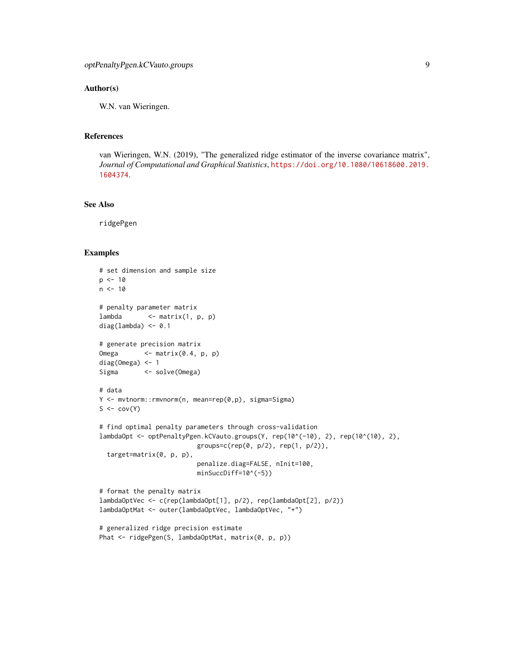#### Author(s)

W.N. van Wieringen.

# References

van Wieringen, W.N. (2019), "The generalized ridge estimator of the inverse covariance matrix", *Journal of Computational and Graphical Statistics*, [https://doi.org/10.1080/10618600.2019.](https://doi.org/10.1080/10618600.2019.1604374) [1604374](https://doi.org/10.1080/10618600.2019.1604374).

# See Also

ridgePgen

```
# set dimension and sample size
p \le -10n < -10# penalty parameter matrix
lambda \leq matrix(1, p, p)
diag(lambda) <- 0.1
# generate precision matrix
Omega <- matrix(0.4, p, p)
diag(Omega) <- 1
Sigma <- solve(Omega)
# data
Y <- mvtnorm::rmvnorm(n, mean=rep(0,p), sigma=Sigma)
S \leftarrow cov(Y)# find optimal penalty parameters through cross-validation
lambdaOpt <- optPenaltyPgen.kCVauto.groups(Y, rep(10^(-10), 2), rep(10^(10), 2),
                          groups=c(rep(0, p/2), rep(1, p/2)),
  target=matrix(0, p, p),
                          penalize.diag=FALSE, nInit=100,
                          minSuccDiff=10^(-5))
# format the penalty matrix
lambdaOptVec <- c(rep(lambdaOpt[1], p/2), rep(lambdaOpt[2], p/2))
lambdaOptMat <- outer(lambdaOptVec, lambdaOptVec, "+")
# generalized ridge precision estimate
Phat <- ridgePgen(S, lambdaOptMat, matrix(0, p, p))
```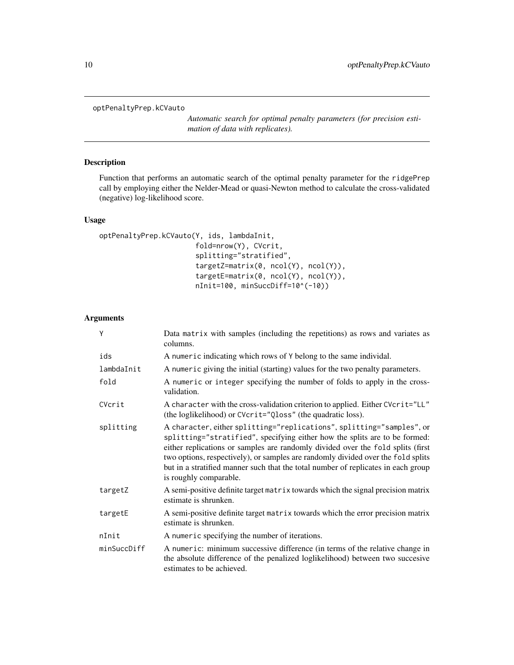#### <span id="page-9-1"></span><span id="page-9-0"></span>optPenaltyPrep.kCVauto

*Automatic search for optimal penalty parameters (for precision estimation of data with replicates).*

# Description

Function that performs an automatic search of the optimal penalty parameter for the ridgePrep call by employing either the Nelder-Mead or quasi-Newton method to calculate the cross-validated (negative) log-likelihood score.

# Usage

```
optPenaltyPrep.kCVauto(Y, ids, lambdaInit,
                       fold=nrow(Y), CVcrit,
                       splitting="stratified",
                       targetZ=matrix(0, ncol(Y), ncol(Y)),
                       targetE=matrix(0, ncol(Y), ncol(Y)),
                       nInit=100, minSuccDiff=10^(-10))
```
# Arguments

| Y           | Data matrix with samples (including the repetitions) as rows and variates as<br>columns.                                                                                                                                                                                                                                                                                                                                                  |
|-------------|-------------------------------------------------------------------------------------------------------------------------------------------------------------------------------------------------------------------------------------------------------------------------------------------------------------------------------------------------------------------------------------------------------------------------------------------|
| ids         | A numeric indicating which rows of Y belong to the same individal.                                                                                                                                                                                                                                                                                                                                                                        |
| lambdaInit  | A numeric giving the initial (starting) values for the two penalty parameters.                                                                                                                                                                                                                                                                                                                                                            |
| fold        | A numeric or integer specifying the number of folds to apply in the cross-<br>validation.                                                                                                                                                                                                                                                                                                                                                 |
| CVcrit      | A character with the cross-validation criterion to applied. Either CVcrit="LL"<br>(the loglikelihood) or CVcrit="Qloss" (the quadratic loss).                                                                                                                                                                                                                                                                                             |
| splitting   | A character, either splitting="replications", splitting="samples", or<br>splitting="stratified", specifying either how the splits are to be formed:<br>either replications or samples are randomly divided over the fold splits (first<br>two options, respectively), or samples are randomly divided over the fold splits<br>but in a stratified manner such that the total number of replicates in each group<br>is roughly comparable. |
| targetZ     | A semi-positive definite target matrix towards which the signal precision matrix<br>estimate is shrunken.                                                                                                                                                                                                                                                                                                                                 |
| targetE     | A semi-positive definite target matrix towards which the error precision matrix<br>estimate is shrunken.                                                                                                                                                                                                                                                                                                                                  |
| nInit       | A numeric specifying the number of iterations.                                                                                                                                                                                                                                                                                                                                                                                            |
| minSuccDiff | A numeric: minimum successive difference (in terms of the relative change in<br>the absolute difference of the penalized loglikelihood) between two succesive<br>estimates to be achieved.                                                                                                                                                                                                                                                |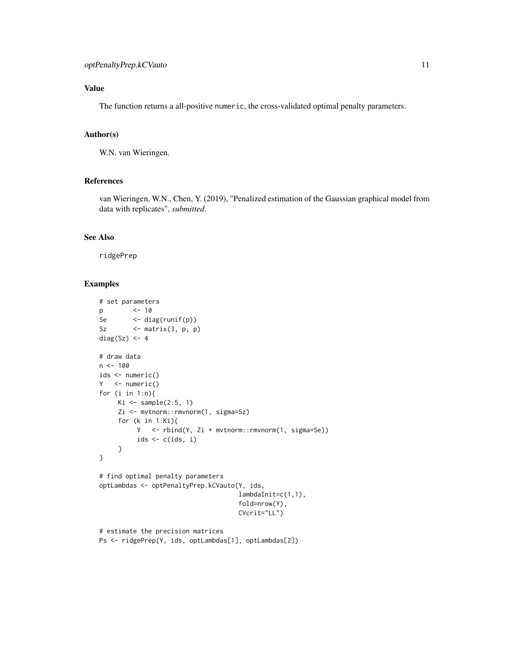# Value

The function returns a all-positive numeric, the cross-validated optimal penalty parameters.

# Author(s)

W.N. van Wieringen.

# References

van Wieringen, W.N., Chen, Y. (2019), "Penalized estimation of the Gaussian graphical model from data with replicates", *submitted*.

# See Also

ridgePrep

```
# set parameters
p <- 10
Se <- diag(runif(p))
Sz \leftarrow matrix(3, p, p)
diag(Sz) <- 4
# draw data
n < -100ids <- numeric()
Y <- numeric()
for (i in 1:n){
    Ki \leq sample(2:5, 1)
    Zi <- mvtnorm::rmvnorm(1, sigma=Sz)
     for (k in 1:Ki){
         Y <- rbind(Y, Zi + mvtnorm::rmvnorm(1, sigma=Se))
         ids <- c(ids, i)
     }
}
# find optimal penalty parameters
optLambdas <- optPenaltyPrep.kCVauto(Y, ids,
                                    lambdaInit=c(1,1),
                                    fold=nrow(Y),
                                    CVcrit="LL")
# estimate the precision matrices
```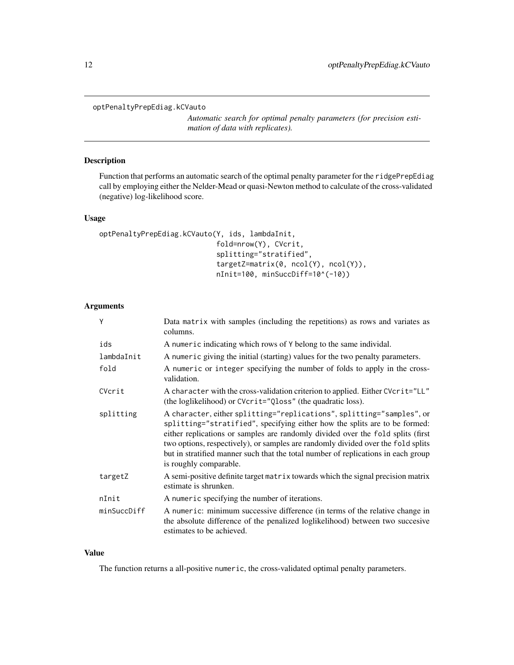#### <span id="page-11-1"></span><span id="page-11-0"></span>optPenaltyPrepEdiag.kCVauto

*Automatic search for optimal penalty parameters (for precision estimation of data with replicates).*

# Description

Function that performs an automatic search of the optimal penalty parameter for the ridgePrepEdiag call by employing either the Nelder-Mead or quasi-Newton method to calculate of the cross-validated (negative) log-likelihood score.

# Usage

```
optPenaltyPrepEdiag.kCVauto(Y, ids, lambdaInit,
                            fold=nrow(Y), CVcrit,
                            splitting="stratified",
                            targetZ=matrix(0, ncol(Y), ncol(Y)),
                            nInit=100, minSuccDiff=10^(-10))
```
# Arguments

| Y           | Data matrix with samples (including the repetitions) as rows and variates as<br>columns.                                                                                                                                                                                                                                                                                                                                                  |
|-------------|-------------------------------------------------------------------------------------------------------------------------------------------------------------------------------------------------------------------------------------------------------------------------------------------------------------------------------------------------------------------------------------------------------------------------------------------|
| ids         | A numeric indicating which rows of Y belong to the same individal.                                                                                                                                                                                                                                                                                                                                                                        |
| lambdaInit  | A numeric giving the initial (starting) values for the two penalty parameters.                                                                                                                                                                                                                                                                                                                                                            |
| fold        | A numeric or integer specifying the number of folds to apply in the cross-<br>validation.                                                                                                                                                                                                                                                                                                                                                 |
| CVcrit      | A character with the cross-validation criterion to applied. Either CVcrit="LL"<br>(the loglikelihood) or CVcrit="Qloss" (the quadratic loss).                                                                                                                                                                                                                                                                                             |
| splitting   | A character, either splitting="replications", splitting="samples", or<br>splitting="stratified", specifying either how the splits are to be formed:<br>either replications or samples are randomly divided over the fold splits (first<br>two options, respectively), or samples are randomly divided over the fold splits<br>but in stratified manner such that the total number of replications in each group<br>is roughly comparable. |
| targetZ     | A semi-positive definite target matrix towards which the signal precision matrix<br>estimate is shrunken.                                                                                                                                                                                                                                                                                                                                 |
| nInit       | A numeric specifying the number of iterations.                                                                                                                                                                                                                                                                                                                                                                                            |
| minSuccDiff | A numeric: minimum successive difference (in terms of the relative change in<br>the absolute difference of the penalized loglikelihood) between two succesive<br>estimates to be achieved.                                                                                                                                                                                                                                                |

### Value

The function returns a all-positive numeric, the cross-validated optimal penalty parameters.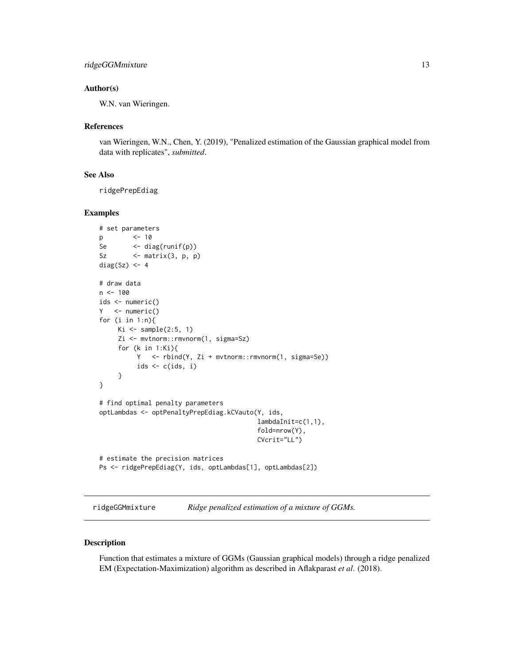#### <span id="page-12-0"></span>Author(s)

W.N. van Wieringen.

#### References

van Wieringen, W.N., Chen, Y. (2019), "Penalized estimation of the Gaussian graphical model from data with replicates", *submitted*.

# See Also

ridgePrepEdiag

# Examples

```
# set parameters
p <- 10
Se <- diag(runif(p))
Sz \leftarrow matrix(3, p, p)
diag(Sz) <- 4
# draw data
n < -100ids <- numeric()
Y <- numeric()
for (i in 1:n){
    Ki \le sample(2:5, 1)
     Zi <- mvtnorm::rmvnorm(1, sigma=Sz)
     for (k in 1:Ki){
         Y <- rbind(Y, Zi + mvtnorm::rmvnorm(1, sigma=Se))
          ids \leftarrow c(ids, i)
     }
}
# find optimal penalty parameters
optLambdas <- optPenaltyPrepEdiag.kCVauto(Y, ids,
                                          lambdaInit=c(1,1),
                                          fold=nrow(Y),
                                          CVcrit="LL")
# estimate the precision matrices
Ps <- ridgePrepEdiag(Y, ids, optLambdas[1], optLambdas[2])
```
<span id="page-12-1"></span>ridgeGGMmixture *Ridge penalized estimation of a mixture of GGMs.*

#### Description

Function that estimates a mixture of GGMs (Gaussian graphical models) through a ridge penalized EM (Expectation-Maximization) algorithm as described in Aflakparast *et al*. (2018).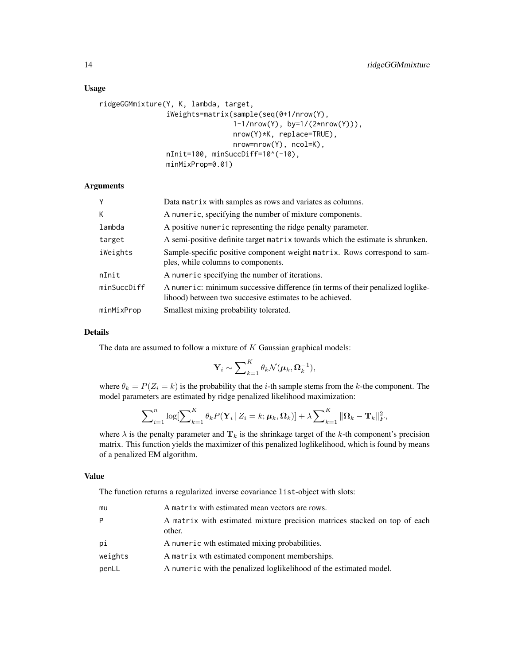#### Usage

```
ridgeGGMmixture(Y, K, lambda, target,
                iWeights=matrix(sample(seq(0+1/nrow(Y),
                                1-1/nrow(Y), by=1/(2*nrow(Y))),
                                nrow(Y)*K, replace=TRUE),
                                nrow=nrow(Y), ncol=K),
                nInit=100, minSuccDiff=10^(-10),
                minMixProp=0.01)
```
#### Arguments

| Y           | Data matrix with samples as rows and variates as columns.                                                                                 |
|-------------|-------------------------------------------------------------------------------------------------------------------------------------------|
| K           | A numeric, specifying the number of mixture components.                                                                                   |
| lambda      | A positive numeric representing the ridge penalty parameter.                                                                              |
| target      | A semi-positive definite target matrix towards which the estimate is shrunken.                                                            |
| iWeights    | Sample-specific positive component weight matrix. Rows correspond to sam-<br>ples, while columns to components.                           |
| nInit       | A numeric specifying the number of iterations.                                                                                            |
| minSuccDiff | A numeric: minimum successive difference (in terms of their penalized loglike-<br>lihood) between two succesive estimates to be achieved. |
| minMixProp  | Smallest mixing probability tolerated.                                                                                                    |

#### Details

The data are assumed to follow a mixture of  $K$  Gaussian graphical models:

$$
\mathbf{Y}_i \sim \sum\nolimits_{k=1}^K \theta_k \mathcal{N}(\boldsymbol{\mu}_k, \boldsymbol{\Omega}_k^{-1}),
$$

where  $\theta_k = P(Z_i = k)$  is the probability that the *i*-th sample stems from the *k*-the component. The model parameters are estimated by ridge penalized likelihood maximization:

$$
\sum\nolimits_{i=1}^n \log \bigl[\sum\nolimits_{k=1}^K \theta_k P(\mathbf{Y}_i \,|\, Z_i = k; \boldsymbol{\mu}_k, \boldsymbol{\Omega}_k)\bigr] + \lambda \sum\nolimits_{k=1}^K \|\boldsymbol{\Omega}_k - \mathbf{T}_k\|_F^2,
$$

where  $\lambda$  is the penalty parameter and  $\mathbf{T}_k$  is the shrinkage target of the k-th component's precision matrix. This function yields the maximizer of this penalized loglikelihood, which is found by means of a penalized EM algorithm.

#### Value

The function returns a regularized inverse covariance list-object with slots:

| mu      | A matrix with estimated mean vectors are rows.                                      |
|---------|-------------------------------------------------------------------------------------|
| P       | A matrix with estimated mixture precision matrices stacked on top of each<br>other. |
| рi      | A numeric wth estimated mixing probabilities.                                       |
| weights | A matrix wth estimated component memberships.                                       |
| penLL   | A numeric with the penalized loglikelihood of the estimated model.                  |
|         |                                                                                     |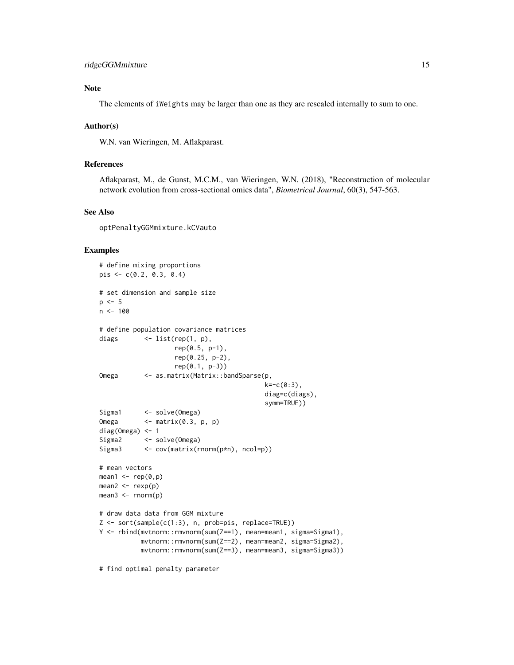# Note

The elements of iWeights may be larger than one as they are rescaled internally to sum to one.

#### Author(s)

W.N. van Wieringen, M. Aflakparast.

#### References

Aflakparast, M., de Gunst, M.C.M., van Wieringen, W.N. (2018), "Reconstruction of molecular network evolution from cross-sectional omics data", *Biometrical Journal*, 60(3), 547-563.

#### See Also

optPenaltyGGMmixture.kCVauto

#### Examples

```
# define mixing proportions
pis <- c(0.2, 0.3, 0.4)
# set dimension and sample size
p \le -5n < -100# define population covariance matrices
diags \langle -\text{list}(\text{rep}(1, p)),\ranglerep(0.5, p-1),
                    rep(0.25, p-2),
                    rep(0.1, p-3))
Omega <- as.matrix(Matrix::bandSparse(p,
                                            k=-c(0:3),
                                            diag=c(diags),
                                            symm=TRUE))
Sigma1 <- solve(Omega)
Omega <- matrix(0.3, p, p)
diag(Omega) <- 1
Sigma2 <- solve(Omega)
Sigma3 <- cov(matrix(rnorm(p*n), ncol=p))
# mean vectors
mean1 \leq rep(0,p)
mean2 <- rexp(p)
mean3 \leq rnorm(p)# draw data data from GGM mixture
Z <- sort(sample(c(1:3), n, prob=pis, replace=TRUE))
Y <- rbind(mvtnorm::rmvnorm(sum(Z==1), mean=mean1, sigma=Sigma1),
           mvtnorm::rmvnorm(sum(Z==2), mean=mean2, sigma=Sigma2),
           mvtnorm::rmvnorm(sum(Z==3), mean=mean3, sigma=Sigma3))
```
# find optimal penalty parameter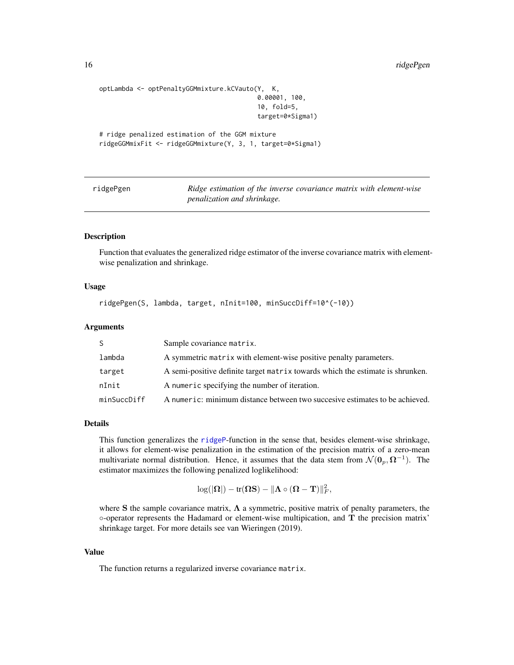```
optLambda <- optPenaltyGGMmixture.kCVauto(Y, K,
                                          0.00001, 100,
                                          10, fold=5,
                                          target=0*Sigma1)
# ridge penalized estimation of the GGM mixture
ridgeGGMmixFit <- ridgeGGMmixture(Y, 3, 1, target=0*Sigma1)
```
<span id="page-15-1"></span>

ridgePgen *Ridge estimation of the inverse covariance matrix with element-wise penalization and shrinkage.*

#### Description

Function that evaluates the generalized ridge estimator of the inverse covariance matrix with elementwise penalization and shrinkage.

#### Usage

ridgePgen(S, lambda, target, nInit=100, minSuccDiff=10^(-10))

#### Arguments

| S.          | Sample covariance matrix.                                                      |
|-------------|--------------------------------------------------------------------------------|
| lambda      | A symmetric matrix with element-wise positive penalty parameters.              |
| target      | A semi-positive definite target matrix towards which the estimate is shrunken. |
| nInit       | A numeric specifying the number of iteration.                                  |
| minSuccDiff | A numeric: minimum distance between two succesive estimates to be achieved.    |

#### Details

This function generalizes the [ridgeP](#page-0-0)-function in the sense that, besides element-wise shrinkage, it allows for element-wise penalization in the estimation of the precision matrix of a zero-mean multivariate normal distribution. Hence, it assumes that the data stem from  $\mathcal{N}(\mathbf{0}_p, \mathbf{\Omega}^{-1})$ . The estimator maximizes the following penalized loglikelihood:

$$
\log(|\mathbf{\Omega}|)-\text{tr}(\mathbf{\Omega}\mathbf{S})-\|\mathbf{\Lambda}\circ(\mathbf{\Omega}-\mathbf{T})\|_F^2,
$$

where S the sample covariance matrix,  $\Lambda$  a symmetric, positive matrix of penalty parameters, the ◦-operator represents the Hadamard or element-wise multipication, and T the precision matrix' shrinkage target. For more details see van Wieringen (2019).

#### Value

The function returns a regularized inverse covariance matrix.

<span id="page-15-0"></span>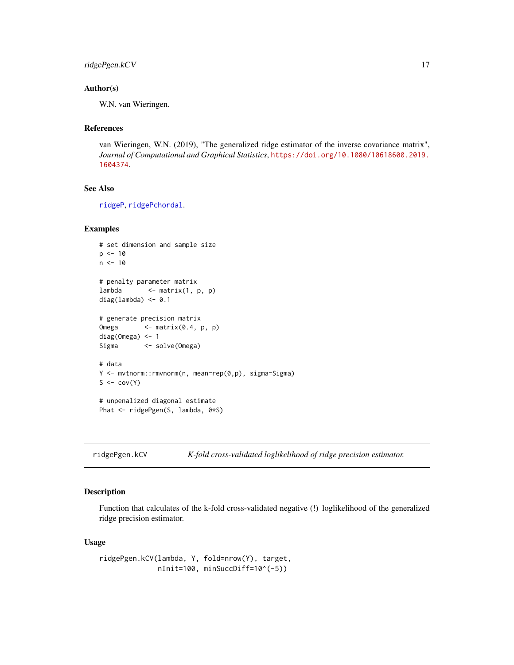```
ridgePgen.kCV 17
```
# Author(s)

W.N. van Wieringen.

#### References

van Wieringen, W.N. (2019), "The generalized ridge estimator of the inverse covariance matrix", *Journal of Computational and Graphical Statistics*, [https://doi.org/10.1080/10618600.2019.](https://doi.org/10.1080/10618600.2019.1604374) [1604374](https://doi.org/10.1080/10618600.2019.1604374).

# See Also

[ridgeP](#page-0-0), [ridgePchordal](#page-0-0).

#### Examples

```
# set dimension and sample size
p \le -10n < -10# penalty parameter matrix
lambda \leq matrix(1, p, p)
diag(lambda) <- 0.1
# generate precision matrix
Omega <- matrix(0.4, p, p)
diag(Omega) <- 1
Sigma <- solve(Omega)
# data
Y <- mvtnorm::rmvnorm(n, mean=rep(0,p), sigma=Sigma)
S \leftarrow cov(Y)# unpenalized diagonal estimate
Phat <- ridgePgen(S, lambda, 0*S)
```
<span id="page-16-1"></span>ridgePgen.kCV *K-fold cross-validated loglikelihood of ridge precision estimator.*

#### Description

Function that calculates of the k-fold cross-validated negative (!) loglikelihood of the generalized ridge precision estimator.

#### Usage

```
ridgePgen.kCV(lambda, Y, fold=nrow(Y), target,
             nInit=100, minSuccDiff=10^(-5))
```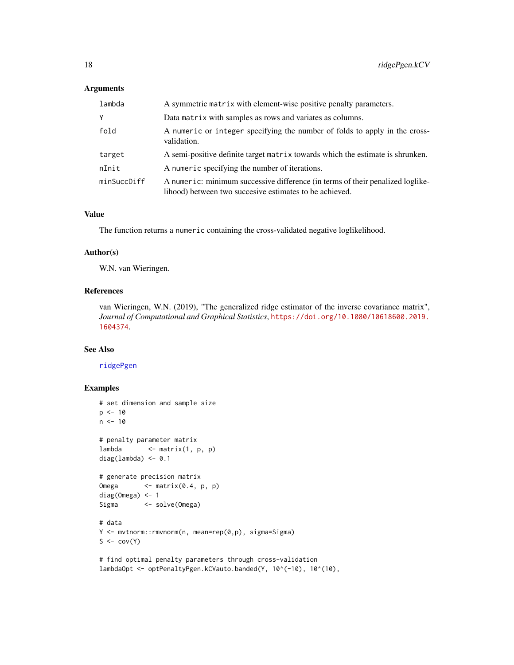#### <span id="page-17-0"></span>Arguments

| lambda      | A symmetric matrix with element-wise positive penalty parameters.                                                                         |
|-------------|-------------------------------------------------------------------------------------------------------------------------------------------|
| Y           | Data matrix with samples as rows and variates as columns.                                                                                 |
| fold        | A numeric or integer specifying the number of folds to apply in the cross-<br>validation.                                                 |
| target      | A semi-positive definite target matrix towards which the estimate is shrunken.                                                            |
| nInit       | A numeric specifying the number of iterations.                                                                                            |
| minSuccDiff | A numeric: minimum successive difference (in terms of their penalized loglike-<br>lihood) between two succesive estimates to be achieved. |

#### Value

The function returns a numeric containing the cross-validated negative loglikelihood.

#### Author(s)

W.N. van Wieringen.

# References

van Wieringen, W.N. (2019), "The generalized ridge estimator of the inverse covariance matrix", *Journal of Computational and Graphical Statistics*, [https://doi.org/10.1080/10618600.2019.](https://doi.org/10.1080/10618600.2019.1604374) [1604374](https://doi.org/10.1080/10618600.2019.1604374).

# See Also

[ridgePgen](#page-15-1)

```
# set dimension and sample size
p \le -10n < -10# penalty parameter matrix
lambda <- matrix(1, p, p)
diag(lambda) <-0.1# generate precision matrix
Omega <- matrix(0.4, p, p)
diag(Omega) <- 1
Sigma <- solve(Omega)
# data
Y <- mvtnorm::rmvnorm(n, mean=rep(0,p), sigma=Sigma)
S \leftarrow cov(Y)# find optimal penalty parameters through cross-validation
lambdaOpt <- optPenaltyPgen.kCVauto.banded(Y, 10^(-10), 10^(10),
```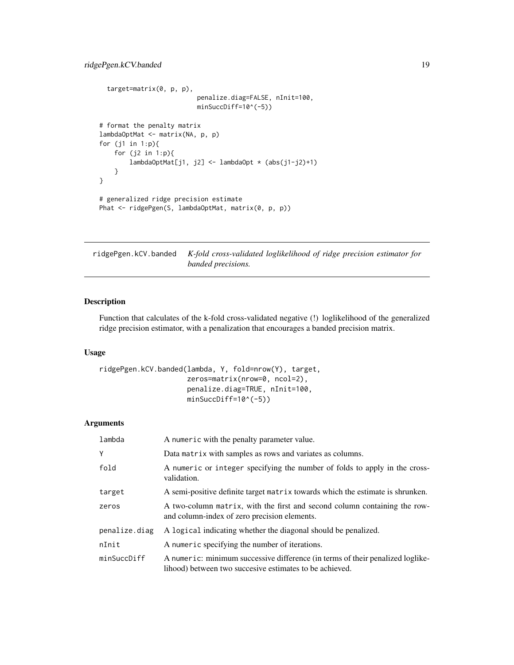```
target=matrix(0, p, p),
                          penalize.diag=FALSE, nInit=100,
                          minSuccDiff=10^(-5))
# format the penalty matrix
lambdaOptMat <- matrix(NA, p, p)
for (j1 in 1:p){
   for (j2 in 1:p){
       lambdaOptMat[j1, j2] <- lambdaOpt * (abs(j1-j2)+1)
   }
}
# generalized ridge precision estimate
Phat <- ridgePgen(S, lambdaOptMat, matrix(0, p, p))
```
<span id="page-18-1"></span>ridgePgen.kCV.banded *K-fold cross-validated loglikelihood of ridge precision estimator for banded precisions.*

# Description

Function that calculates of the k-fold cross-validated negative (!) loglikelihood of the generalized ridge precision estimator, with a penalization that encourages a banded precision matrix.

#### Usage

```
ridgePgen.kCV.banded(lambda, Y, fold=nrow(Y), target,
                     zeros=matrix(nrow=0, ncol=2),
                     penalize.diag=TRUE, nInit=100,
                     minSuccDiff=10^(-5))
```
#### Arguments

| lambda        | A numeric with the penalty parameter value.                                                                                               |
|---------------|-------------------------------------------------------------------------------------------------------------------------------------------|
| Υ             | Data matrix with samples as rows and variates as columns.                                                                                 |
| fold          | A numeric or integer specifying the number of folds to apply in the cross-<br>validation.                                                 |
| target        | A semi-positive definite target matrix towards which the estimate is shrunken.                                                            |
| zeros         | A two-column matrix, with the first and second column containing the row-<br>and column-index of zero precision elements.                 |
| penalize.diag | A logical indicating whether the diagonal should be penalized.                                                                            |
| nInit         | A numeric specifying the number of iterations.                                                                                            |
| minSuccDiff   | A numeric: minimum successive difference (in terms of their penalized loglike-<br>lihood) between two succesive estimates to be achieved. |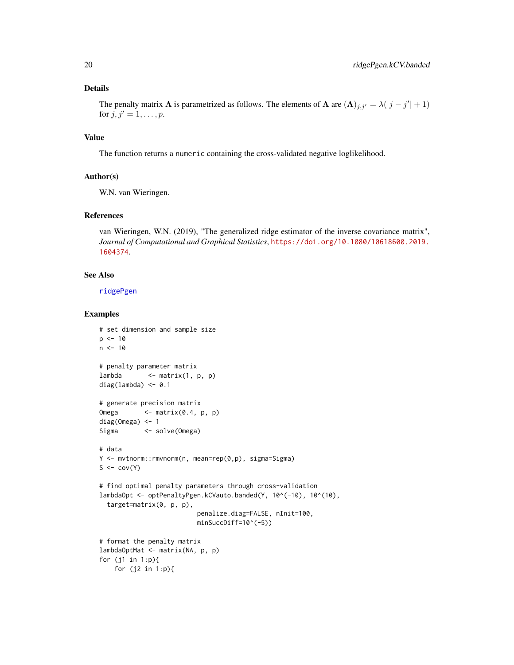# <span id="page-19-0"></span>Details

The penalty matrix  $\Lambda$  is parametrized as follows. The elements of  $\Lambda$  are  $(\Lambda)_{j,j'} = \lambda(|j - j'| + 1)$ for  $j, j' = 1, ..., p$ .

# Value

The function returns a numeric containing the cross-validated negative loglikelihood.

# Author(s)

W.N. van Wieringen.

# References

van Wieringen, W.N. (2019), "The generalized ridge estimator of the inverse covariance matrix", *Journal of Computational and Graphical Statistics*, [https://doi.org/10.1080/10618600.2019.](https://doi.org/10.1080/10618600.2019.1604374) [1604374](https://doi.org/10.1080/10618600.2019.1604374).

#### See Also

[ridgePgen](#page-15-1)

```
# set dimension and sample size
p \le -10n < -10# penalty parameter matrix
lambda \leq matrix(1, p, p)
diag(lambda) <- 0.1
# generate precision matrix
Omega <- matrix(0.4, p, p)
diag(Omega) <- 1
Sigma <- solve(Omega)
# data
Y <- mvtnorm::rmvnorm(n, mean=rep(0,p), sigma=Sigma)
S \leftarrow cov(Y)# find optimal penalty parameters through cross-validation
lambdaOpt <- optPenaltyPgen.kCVauto.banded(Y, 10^(-10), 10^(10),
  target=matrix(0, p, p),
                         penalize.diag=FALSE, nInit=100,
                         minSuccDiff=10^(-5))
# format the penalty matrix
lambdaOptMat <- matrix(NA, p, p)
for (j1 in 1:p){
   for (j2 in 1:p){
```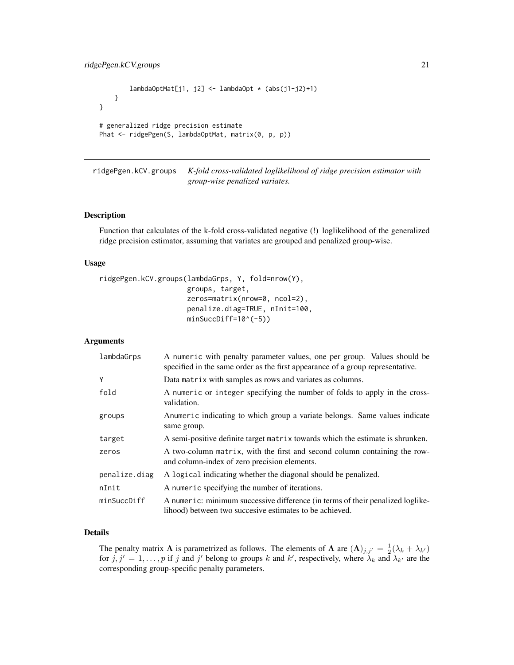```
lambdaOptMat[j1, j2] <- lambdaOpt * (abs(j1-j2)+1)
   }
}
# generalized ridge precision estimate
Phat <- ridgePgen(S, lambdaOptMat, matrix(0, p, p))
```
<span id="page-20-1"></span>ridgePgen.kCV.groups *K-fold cross-validated loglikelihood of ridge precision estimator with group-wise penalized variates.*

#### Description

Function that calculates of the k-fold cross-validated negative (!) loglikelihood of the generalized ridge precision estimator, assuming that variates are grouped and penalized group-wise.

#### Usage

```
ridgePgen.kCV.groups(lambdaGrps, Y, fold=nrow(Y),
                     groups, target,
                     zeros=matrix(nrow=0, ncol=2),
                     penalize.diag=TRUE, nInit=100,
                     minSuccDiff=10^(-5))
```
# Arguments

| lambdaGrps    | A numeric with penalty parameter values, one per group. Values should be<br>specified in the same order as the first appearance of a group representative. |
|---------------|------------------------------------------------------------------------------------------------------------------------------------------------------------|
| Y             | Data matrix with samples as rows and variates as columns.                                                                                                  |
| fold          | A numeric or integer specifying the number of folds to apply in the cross-<br>validation.                                                                  |
| groups        | Anumeric indicating to which group a variate belongs. Same values indicate<br>same group.                                                                  |
| target        | A semi-positive definite target matrix towards which the estimate is shrunken.                                                                             |
| zeros         | A two-column matrix, with the first and second column containing the row-<br>and column-index of zero precision elements.                                  |
| penalize.diag | A logical indicating whether the diagonal should be penalized.                                                                                             |
| nInit         | A numeric specifying the number of iterations.                                                                                                             |
| minSuccDiff   | A numeric: minimum successive difference (in terms of their penalized loglike-<br>lihood) between two succesive estimates to be achieved.                  |

# Details

The penalty matrix  $\Lambda$  is parametrized as follows. The elements of  $\Lambda$  are  $(\Lambda)_{j,j'} = \frac{1}{2}(\lambda_k + \lambda_{k'})$ for  $j, j' = 1, \ldots, p$  if j and j' belong to groups k and k', respectively, where  $\lambda_k$  and  $\lambda_{k'}$  are the corresponding group-specific penalty parameters.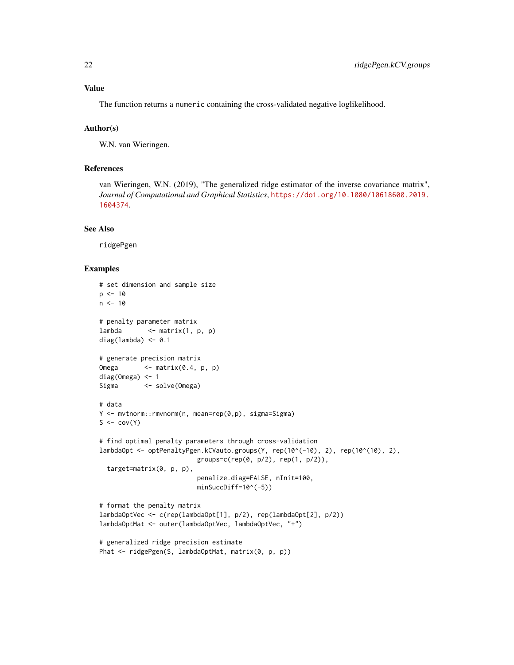The function returns a numeric containing the cross-validated negative loglikelihood.

### Author(s)

W.N. van Wieringen.

## References

van Wieringen, W.N. (2019), "The generalized ridge estimator of the inverse covariance matrix", *Journal of Computational and Graphical Statistics*, [https://doi.org/10.1080/10618600.2019.](https://doi.org/10.1080/10618600.2019.1604374) [1604374](https://doi.org/10.1080/10618600.2019.1604374).

#### See Also

ridgePgen

```
# set dimension and sample size
p \le -10n < -10# penalty parameter matrix
lambda \leq matrix(1, p, p)
diag(lambda) <- 0.1
# generate precision matrix
Omega \leq matrix(0.4, p, p)
diag(Omega) <- 1
Sigma <- solve(Omega)
# data
Y <- mvtnorm::rmvnorm(n, mean=rep(0,p), sigma=Sigma)
S \leftarrow cov(Y)# find optimal penalty parameters through cross-validation
lambdaOpt <- optPenaltyPgen.kCVauto.groups(Y, rep(10^(-10), 2), rep(10^(10), 2),
                          groups=c(rep(0, p/2), rep(1, p/2)),
  target=matrix(0, p, p),
                          penalize.diag=FALSE, nInit=100,
                          minSuccDiff=10^(-5))
# format the penalty matrix
lambdaOptVec <- c(rep(lambdaOpt[1], p/2), rep(lambdaOpt[2], p/2))
lambdaOptMat <- outer(lambdaOptVec, lambdaOptVec, "+")
# generalized ridge precision estimate
Phat <- ridgePgen(S, lambdaOptMat, matrix(0, p, p))
```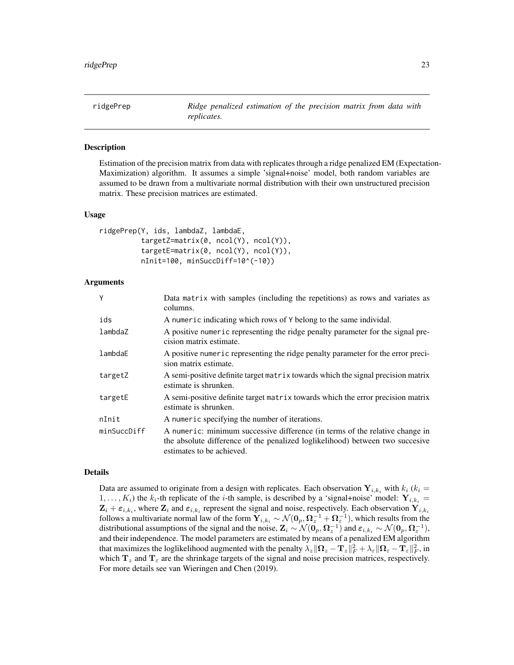<span id="page-22-1"></span><span id="page-22-0"></span>

#### Description

Estimation of the precision matrix from data with replicates through a ridge penalized EM (Expectation-Maximization) algorithm. It assumes a simple 'signal+noise' model, both random variables are assumed to be drawn from a multivariate normal distribution with their own unstructured precision matrix. These precision matrices are estimated.

#### Usage

```
ridgePrep(Y, ids, lambdaZ, lambdaE,
          targetZ=matrix(0, ncol(Y), ncol(Y)),
          targetE=matrix(0, ncol(Y), ncol(Y)),
          nInit=100, minSuccDiff=10^(-10))
```
# Arguments

| Y           | Data matrix with samples (including the repetitions) as rows and variates as<br>columns.                                                                                                   |
|-------------|--------------------------------------------------------------------------------------------------------------------------------------------------------------------------------------------|
| ids         | A numeric indicating which rows of Y belong to the same individal.                                                                                                                         |
| lambdaZ     | A positive numeric representing the ridge penalty parameter for the signal pre-<br>cision matrix estimate.                                                                                 |
| lambdaE     | A positive numeric representing the ridge penalty parameter for the error preci-<br>sion matrix estimate.                                                                                  |
| targetZ     | A semi-positive definite target matrix towards which the signal precision matrix<br>estimate is shrunken.                                                                                  |
| targetE     | A semi-positive definite target matrix towards which the error precision matrix<br>estimate is shrunken.                                                                                   |
| nInit       | A numeric specifying the number of iterations.                                                                                                                                             |
| minSuccDiff | A numeric: minimum successive difference (in terms of the relative change in<br>the absolute difference of the penalized loglikelihood) between two succesive<br>estimates to be achieved. |

#### Details

Data are assumed to originate from a design with replicates. Each observation  $Y_{i,k_i}$  with  $k_i$  ( $k_i =$  $1, \ldots, K_i$ ) the  $k_i$ -th replicate of the *i*-th sample, is described by a 'signal+noise' model:  $Y_{i,k_i}$  =  $\mathbf{Z}_i + \varepsilon_{i,k_i}$ , where  $\mathbf{Z}_i$  and  $\varepsilon_{i,k_i}$  represent the signal and noise, respectively. Each observation  $\mathbf{Y}_{i,k_i}$ follows a multivariate normal law of the form  $\mathbf{Y}_{i,k_i}\sim\mathcal{N}(\mathbf{0}_p,\bm{\Omega}_z^{-1}+\bm{\Omega}_\varepsilon^{-1}),$  which results from the distributional assumptions of the signal and the noise,  $\mathbf{Z}_i \sim \mathcal{N}(\mathbf{0}_p, \mathbf{\Omega}_z^{-1})$  and  $\varepsilon_{i,k_i} \sim \mathcal{N}(\mathbf{0}_p, \mathbf{\Omega}_\varepsilon^{-1}),$ and their independence. The model parameters are estimated by means of a penalized EM algorithm that maximizes the loglikelihood augmented with the penalty  $\lambda_z\|\mathbf{\Omega}_z-\mathbf{T}_z\|_F^2+\lambda_{\varepsilon}\|\mathbf{\Omega}_\varepsilon-\mathbf{T}_\varepsilon\|_F^2,$  in which  $T_z$  and  $T_\epsilon$  are the shrinkage targets of the signal and noise precision matrices, respectively. For more details see van Wieringen and Chen (2019).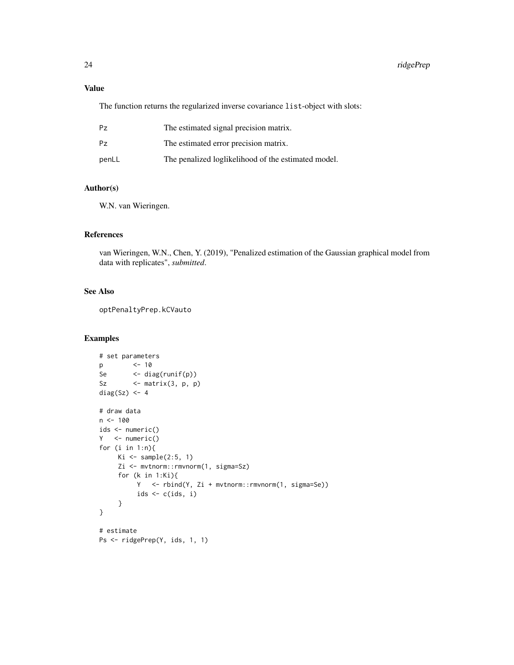# Value

The function returns the regularized inverse covariance list-object with slots:

| Pz    | The estimated signal precision matrix.              |
|-------|-----------------------------------------------------|
| Pz    | The estimated error precision matrix.               |
| penLL | The penalized loglikelihood of the estimated model. |

# Author(s)

W.N. van Wieringen.

# References

van Wieringen, W.N., Chen, Y. (2019), "Penalized estimation of the Gaussian graphical model from data with replicates", *submitted*.

# See Also

optPenaltyPrep.kCVauto

```
# set parameters
p <- 10
Se <- diag(runif(p))
Sz \leftarrow matrix(3, p, p)
diag(Sz) <- 4
# draw data
n < - 100ids <- numeric()
Y <- numeric()
for (i in 1:n){
    Ki \leq sample(2:5, 1)
    Zi <- mvtnorm::rmvnorm(1, sigma=Sz)
     for (k in 1:Ki){
         Y <- rbind(Y, Zi + mvtnorm::rmvnorm(1, sigma=Se))
         ids \leftarrow c(ids, i)
     }
}
# estimate
Ps <- ridgePrep(Y, ids, 1, 1)
```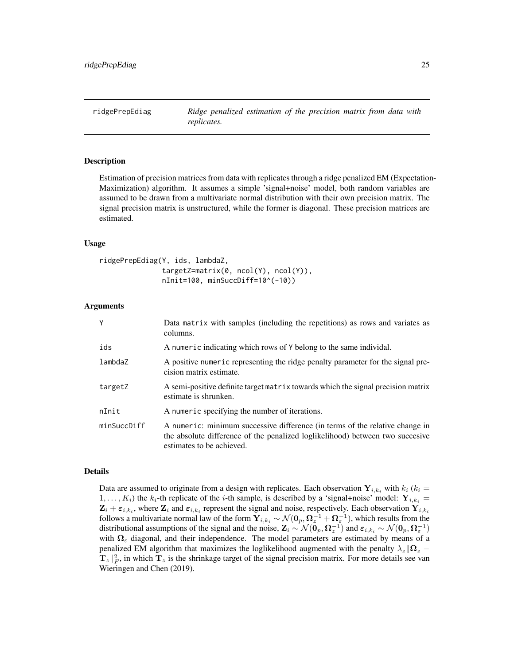<span id="page-24-1"></span><span id="page-24-0"></span>ridgePrepEdiag *Ridge penalized estimation of the precision matrix from data with replicates.*

#### Description

Estimation of precision matrices from data with replicates through a ridge penalized EM (Expectation-Maximization) algorithm. It assumes a simple 'signal+noise' model, both random variables are assumed to be drawn from a multivariate normal distribution with their own precision matrix. The signal precision matrix is unstructured, while the former is diagonal. These precision matrices are estimated.

#### Usage

```
ridgePrepEdiag(Y, ids, lambdaZ,
               targetZ=matrix(0, ncol(Y), ncol(Y)),
               nInit=100, minSuccDiff=10^(-10))
```
#### Arguments

| Y           | Data matrix with samples (including the repetitions) as rows and variates as<br>columns.                                                                                                   |
|-------------|--------------------------------------------------------------------------------------------------------------------------------------------------------------------------------------------|
| ids         | A numeric indicating which rows of Y belong to the same individal.                                                                                                                         |
| lambdaZ     | A positive numeric representing the ridge penalty parameter for the signal pre-<br>cision matrix estimate.                                                                                 |
| targetZ     | A semi-positive definite target matrix towards which the signal precision matrix<br>estimate is shrunken.                                                                                  |
| nInit       | A numeric specifying the number of iterations.                                                                                                                                             |
| minSuccDiff | A numeric: minimum successive difference (in terms of the relative change in<br>the absolute difference of the penalized loglikelihood) between two succesive<br>estimates to be achieved. |

#### Details

Data are assumed to originate from a design with replicates. Each observation  $Y_{i,k_i}$  with  $k_i$  ( $k_i$  =  $1, \ldots, K_i$ ) the  $k_i$ -th replicate of the *i*-th sample, is described by a 'signal+noise' model:  $Y_{i,k_i}$  =  $\mathbf{Z}_i + \varepsilon_{i,k_i}$ , where  $\mathbf{Z}_i$  and  $\varepsilon_{i,k_i}$  represent the signal and noise, respectively. Each observation  $\mathbf{Y}_{i,k_i}$ follows a multivariate normal law of the form  $\mathbf{Y}_{i,k_i}\sim\mathcal{N}(\mathbf{0}_p,\mathbf{\Omega}_z^{-1}+\mathbf{\Omega}_\varepsilon^{-1}),$  which results from the distributional assumptions of the signal and the noise,  $\mathbf{Z}_i \sim \mathcal{N}(\mathbf{0}_p, \mathbf{\Omega}_z^{-1})$  and  $\varepsilon_{i,k_i} \sim \mathcal{N}(\mathbf{0}_p, \mathbf{\Omega}_\varepsilon^{-1})$ with  $\Omega_{\varepsilon}$  diagonal, and their independence. The model parameters are estimated by means of a penalized EM algorithm that maximizes the loglikelihood augmented with the penalty  $\lambda_z \|\mathbf{\Omega}_z \mathbf{T}_z\Vert_F^2$ , in which  $\mathbf{T}_z$  is the shrinkage target of the signal precision matrix. For more details see van Wieringen and Chen (2019).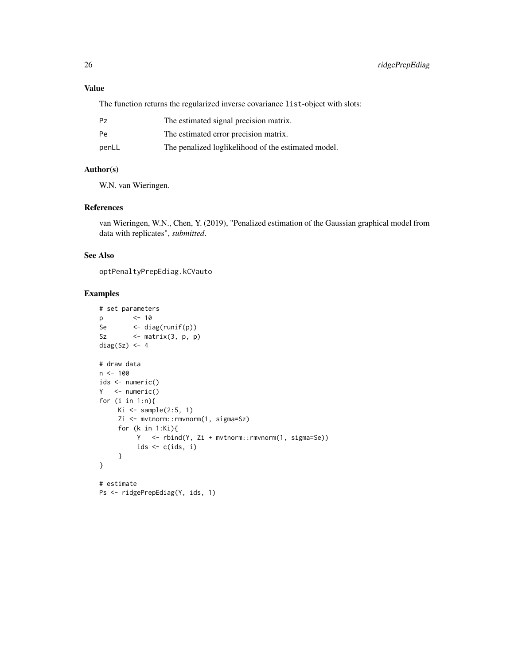# Value

The function returns the regularized inverse covariance list-object with slots:

| Рz    | The estimated signal precision matrix.              |
|-------|-----------------------------------------------------|
| Рe    | The estimated error precision matrix.               |
| penLL | The penalized loglikelihood of the estimated model. |

# Author(s)

W.N. van Wieringen.

# References

van Wieringen, W.N., Chen, Y. (2019), "Penalized estimation of the Gaussian graphical model from data with replicates", *submitted*.

# See Also

optPenaltyPrepEdiag.kCVauto

```
# set parameters
p <- 10
Se <- diag(runif(p))
Sz \leftarrow matrix(3, p, p)
diag(Sz) <- 4
# draw data
n < - 100ids <- numeric()
Y <- numeric()
for (i in 1:n){
    Ki \leq sample(2:5, 1)
    Zi <- mvtnorm::rmvnorm(1, sigma=Sz)
    for (k in 1:Ki){
         Y <- rbind(Y, Zi + mvtnorm::rmvnorm(1, sigma=Se))
         ids <- c(ids, i)
     }
}
# estimate
Ps <- ridgePrepEdiag(Y, ids, 1)
```